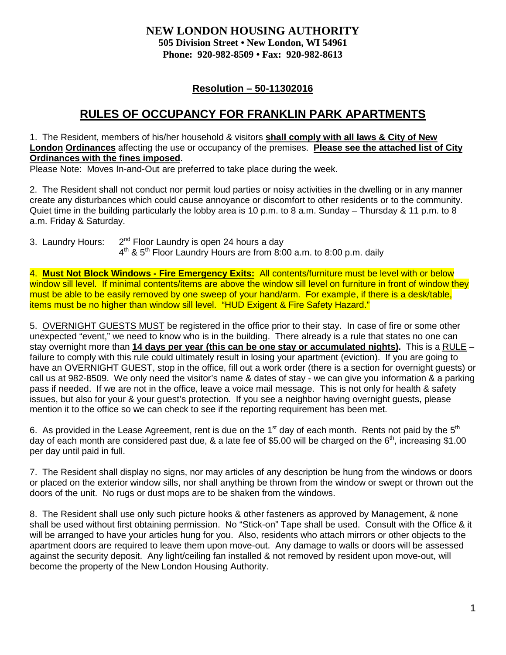## **NEW LONDON HOUSING AUTHORITY 505 Division Street • New London, WI 54961 Phone: 920-982-8509 • Fax: 920-982-8613**

# **Resolution – 50-11302016**

# **RULES OF OCCUPANCY FOR FRANKLIN PARK APARTMENTS**

1. The Resident, members of his/her household & visitors **shall comply with all laws & City of New London Ordinances** affecting the use or occupancy of the premises. **Please see the attached list of City Ordinances with the fines imposed**.

Please Note: Moves In-and-Out are preferred to take place during the week.

2. The Resident shall not conduct nor permit loud parties or noisy activities in the dwelling or in any manner create any disturbances which could cause annoyance or discomfort to other residents or to the community. Quiet time in the building particularly the lobby area is 10 p.m. to 8 a.m. Sunday – Thursday & 11 p.m. to 8 a.m. Friday & Saturday.

3. Laundry Hours:  $2^{nd}$  Floor Laundry is open 24 hours a day  $4<sup>th</sup>$  &  $5<sup>th</sup>$  Floor Laundry Hours are from 8:00 a.m. to 8:00 p.m. daily

4. **Must Not Block Windows - Fire Emergency Exits:** All contents/furniture must be level with or below window sill level. If minimal contents/items are above the window sill level on furniture in front of window they must be able to be easily removed by one sweep of your hand/arm. For example, if there is a desk/table, items must be no higher than window sill level. "HUD Exigent & Fire Safety Hazard."

5. OVERNIGHT GUESTS MUST be registered in the office prior to their stay. In case of fire or some other unexpected "event," we need to know who is in the building. There already is a rule that states no one can stay overnight more than **14 days per year (this can be one stay or accumulated nights).** This is a RULE – failure to comply with this rule could ultimately result in losing your apartment (eviction). If you are going to have an OVERNIGHT GUEST, stop in the office, fill out a work order (there is a section for overnight guests) or call us at 982-8509. We only need the visitor's name & dates of stay - we can give you information & a parking pass if needed. If we are not in the office, leave a voice mail message. This is not only for health & safety issues, but also for your & your guest's protection. If you see a neighbor having overnight guests, please mention it to the office so we can check to see if the reporting requirement has been met.

6. As provided in the Lease Agreement, rent is due on the 1<sup>st</sup> day of each month. Rents not paid by the  $5<sup>th</sup>$ day of each month are considered past due,  $\&$  a late fee of \$5.00 will be charged on the  $6<sup>th</sup>$ , increasing \$1.00 per day until paid in full.

7. The Resident shall display no signs, nor may articles of any description be hung from the windows or doors or placed on the exterior window sills, nor shall anything be thrown from the window or swept or thrown out the doors of the unit. No rugs or dust mops are to be shaken from the windows.

8. The Resident shall use only such picture hooks & other fasteners as approved by Management, & none shall be used without first obtaining permission. No "Stick-on" Tape shall be used. Consult with the Office & it will be arranged to have your articles hung for you. Also, residents who attach mirrors or other objects to the apartment doors are required to leave them upon move-out. Any damage to walls or doors will be assessed against the security deposit. Any light/ceiling fan installed & not removed by resident upon move-out, will become the property of the New London Housing Authority.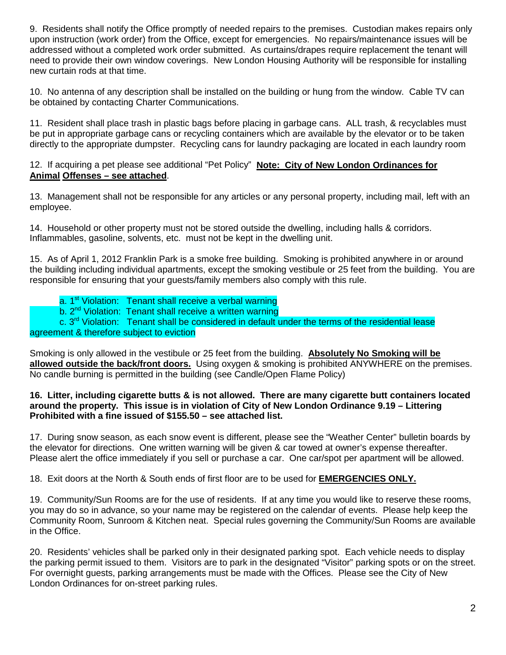9. Residents shall notify the Office promptly of needed repairs to the premises. Custodian makes repairs only upon instruction (work order) from the Office, except for emergencies. No repairs/maintenance issues will be addressed without a completed work order submitted. As curtains/drapes require replacement the tenant will need to provide their own window coverings. New London Housing Authority will be responsible for installing new curtain rods at that time.

10. No antenna of any description shall be installed on the building or hung from the window. Cable TV can be obtained by contacting Charter Communications.

11. Resident shall place trash in plastic bags before placing in garbage cans. ALL trash, & recyclables must be put in appropriate garbage cans or recycling containers which are available by the elevator or to be taken directly to the appropriate dumpster. Recycling cans for laundry packaging are located in each laundry room

#### 12. If acquiring a pet please see additional "Pet Policy" **Note: City of New London Ordinances for Animal Offenses – see attached**.

13. Management shall not be responsible for any articles or any personal property, including mail, left with an employee.

14. Household or other property must not be stored outside the dwelling, including halls & corridors. Inflammables, gasoline, solvents, etc. must not be kept in the dwelling unit.

15. As of April 1, 2012 Franklin Park is a smoke free building. Smoking is prohibited anywhere in or around the building including individual apartments, except the smoking vestibule or 25 feet from the building. You are responsible for ensuring that your guests/family members also comply with this rule.

a. 1<sup>st</sup> Violation: Tenant shall receive a verbal warning

b. 2<sup>nd</sup> Violation: Tenant shall receive a written warning

c. 3<sup>rd</sup> Violation: Tenant shall be considered in default under the terms of the residential lease agreement & therefore subject to eviction

Smoking is only allowed in the vestibule or 25 feet from the building. **Absolutely No Smoking will be allowed outside the back/front doors.** Using oxygen & smoking is prohibited ANYWHERE on the premises. No candle burning is permitted in the building (see Candle/Open Flame Policy)

#### **16. Litter, including cigarette butts & is not allowed. There are many cigarette butt containers located around the property. This issue is in violation of City of New London Ordinance 9.19 – Littering Prohibited with a fine issued of \$155.50 – see attached list.**

17. During snow season, as each snow event is different, please see the "Weather Center" bulletin boards by the elevator for directions. One written warning will be given & car towed at owner's expense thereafter. Please alert the office immediately if you sell or purchase a car. One car/spot per apartment will be allowed.

18. Exit doors at the North & South ends of first floor are to be used for **EMERGENCIES ONLY.**

19. Community/Sun Rooms are for the use of residents. If at any time you would like to reserve these rooms, you may do so in advance, so your name may be registered on the calendar of events. Please help keep the Community Room, Sunroom & Kitchen neat. Special rules governing the Community/Sun Rooms are available in the Office.

20. Residents' vehicles shall be parked only in their designated parking spot. Each vehicle needs to display the parking permit issued to them. Visitors are to park in the designated "Visitor" parking spots or on the street. For overnight guests, parking arrangements must be made with the Offices. Please see the City of New London Ordinances for on-street parking rules.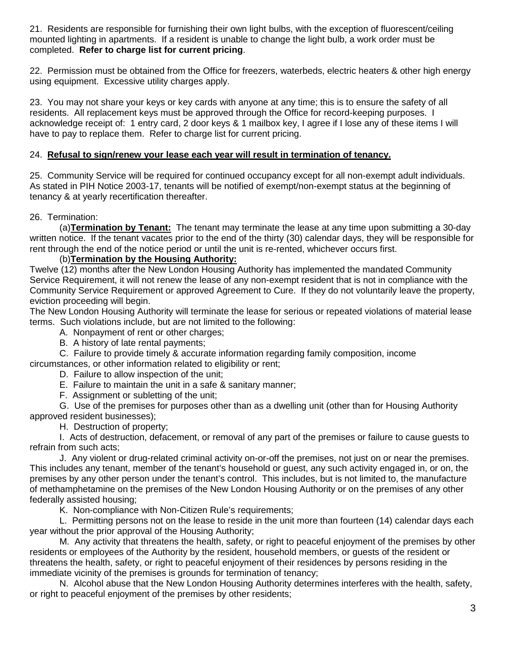21. Residents are responsible for furnishing their own light bulbs, with the exception of fluorescent/ceiling mounted lighting in apartments. If a resident is unable to change the light bulb, a work order must be completed. **Refer to charge list for current pricing**.

22. Permission must be obtained from the Office for freezers, waterbeds, electric heaters & other high energy using equipment. Excessive utility charges apply.

23. You may not share your keys or key cards with anyone at any time; this is to ensure the safety of all residents. All replacement keys must be approved through the Office for record-keeping purposes. I acknowledge receipt of: 1 entry card, 2 door keys & 1 mailbox key, I agree if I lose any of these items I will have to pay to replace them. Refer to charge list for current pricing.

### 24. **Refusal to sign/renew your lease each year will result in termination of tenancy.**

25. Community Service will be required for continued occupancy except for all non-exempt adult individuals. As stated in PIH Notice 2003-17, tenants will be notified of exempt/non-exempt status at the beginning of tenancy & at yearly recertification thereafter.

#### 26. Termination:

(a)**Termination by Tenant:** The tenant may terminate the lease at any time upon submitting a 30-day written notice. If the tenant vacates prior to the end of the thirty (30) calendar days, they will be responsible for rent through the end of the notice period or until the unit is re-rented, whichever occurs first.

#### (b)**Termination by the Housing Authority:**

Twelve (12) months after the New London Housing Authority has implemented the mandated Community Service Requirement, it will not renew the lease of any non-exempt resident that is not in compliance with the Community Service Requirement or approved Agreement to Cure. If they do not voluntarily leave the property, eviction proceeding will begin.

The New London Housing Authority will terminate the lease for serious or repeated violations of material lease terms. Such violations include, but are not limited to the following:

A. Nonpayment of rent or other charges;

- B. A history of late rental payments;
- C. Failure to provide timely & accurate information regarding family composition, income

circumstances, or other information related to eligibility or rent;

- D. Failure to allow inspection of the unit;
- E. Failure to maintain the unit in a safe & sanitary manner;
- F. Assignment or subletting of the unit;

G. Use of the premises for purposes other than as a dwelling unit (other than for Housing Authority approved resident businesses);

H. Destruction of property;

I. Acts of destruction, defacement, or removal of any part of the premises or failure to cause guests to refrain from such acts;

J. Any violent or drug-related criminal activity on-or-off the premises, not just on or near the premises. This includes any tenant, member of the tenant's household or guest, any such activity engaged in, or on, the premises by any other person under the tenant's control. This includes, but is not limited to, the manufacture of methamphetamine on the premises of the New London Housing Authority or on the premises of any other federally assisted housing;

K. Non-compliance with Non-Citizen Rule's requirements;

L. Permitting persons not on the lease to reside in the unit more than fourteen (14) calendar days each year without the prior approval of the Housing Authority;

M. Any activity that threatens the health, safety, or right to peaceful enjoyment of the premises by other residents or employees of the Authority by the resident, household members, or guests of the resident or threatens the health, safety, or right to peaceful enjoyment of their residences by persons residing in the immediate vicinity of the premises is grounds for termination of tenancy;

N. Alcohol abuse that the New London Housing Authority determines interferes with the health, safety, or right to peaceful enjoyment of the premises by other residents;